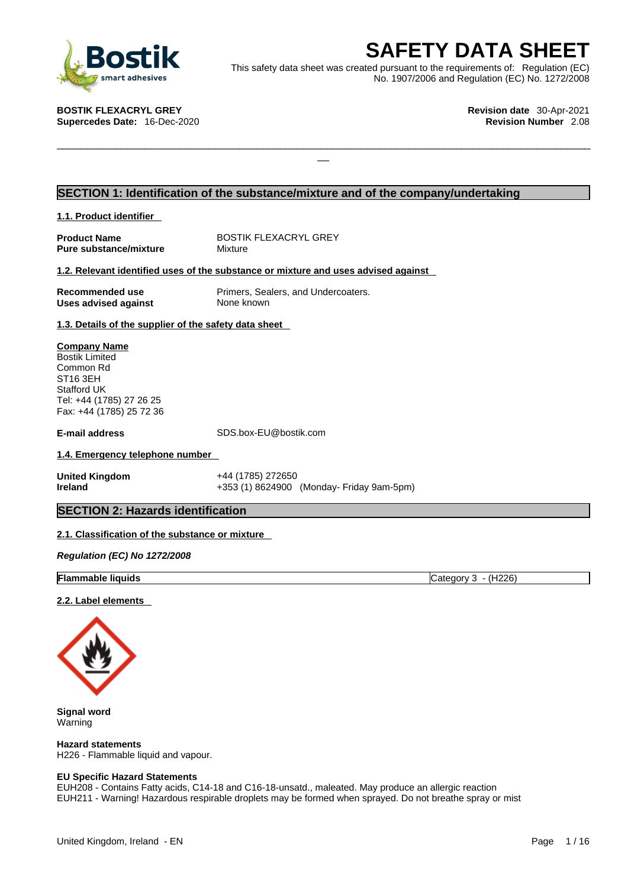

**SAFETY DATA SHEET**<br>
et was created pursuant to the requirements of: Regulation (EC)<br>
No. 1907/2006 and Regulation (EC) No. 1272/2008<br>
Revision date 30-Apr-2021<br>
Revision Number 2.08 This safety data sheet was created pursuant to the requirements of: Regulation (EC) No. 1907/2006 and Regulation (EC) No. 1272/2008

 $\Box$ 

**BOSTIK FLEXACRYL GREY Revision date** 30-Apr-2021 **Supercedes Date: 16-Dec-2020** 

# **SECTION 1: Identification of the substance/mixture and of the company/undertaking**

**1.1. Product identifier** 

**Pure substance/mixture** 

**Product Name**<br> **Pure substance/mixture** Mixture Mixture

### **1.2. Relevant identified uses of the substance or mixture and uses advised against**

**Uses advised against** None known

**Recommended use** Primers, Sealers, and Undercoaters.

**1.3. Details of the supplier of the safety data sheet**

**Company Name** Bostik Limited Common Rd ST16 3EH Stafford UK Tel: +44 (1785) 27 26 25 Fax: +44 (1785) 25 72 36

**E-mail address** SDS.box-EU@bostik.com

## **1.4. Emergency telephone number**

**United Kingdom** +44 (1785) 272650 **Ireland** +353 (1) 8624900 (Monday- Friday 9am-5pm)

# **SECTION 2: Hazards identification**

## **2.1. Classification of the substance or mixture**

*Regulation (EC) No 1272/2008* 

**Flammable liquids** Category 3 - (H226)

### **2.2. Label elements**



**Signal word** Warning

**Hazard statements** H226 - Flammable liquid and vapour.

### **EU Specific Hazard Statements**

EUH208 - Contains Fatty acids, C14-18 and C16-18-unsatd., maleated. May produce an allergic reaction EUH211 - Warning! Hazardous respirable droplets may be formed when sprayed. Do not breathe spray or mist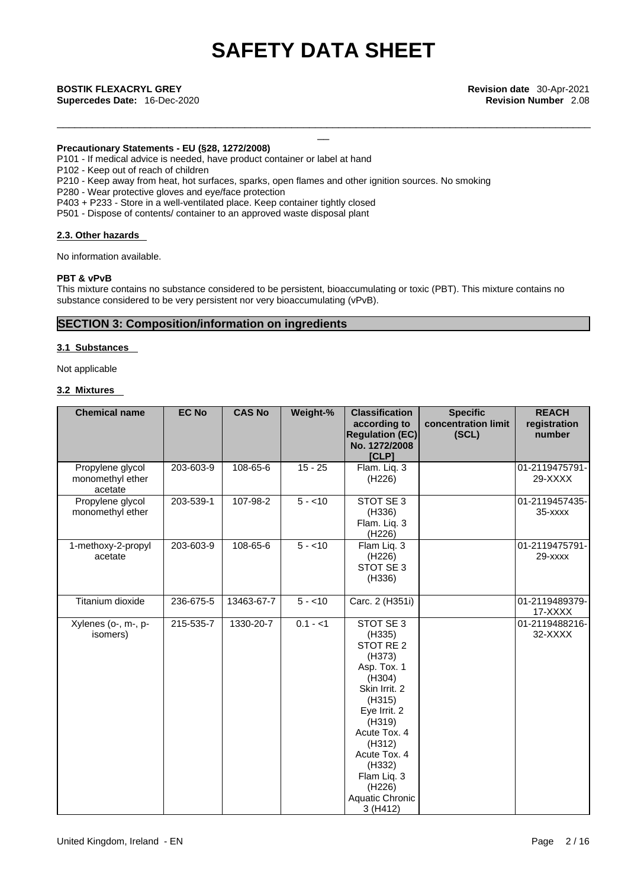\_\_\_\_\_\_\_\_\_\_\_\_\_\_\_\_\_\_\_\_\_\_\_\_\_\_\_\_\_\_\_\_\_\_\_\_\_\_\_\_\_\_\_\_\_\_\_\_\_\_\_\_\_\_\_\_\_\_\_\_\_\_\_\_\_\_\_\_\_\_\_\_\_\_\_\_\_\_\_\_\_\_\_\_\_\_\_\_\_\_\_

\_\_ **BOSTIK FLEXACRYL GREY Revision date** 30-Apr-2021 **Supercedes Date:** 16-Dec-2020 **Revision Number** 2.08

### **Precautionary Statements - EU (§28, 1272/2008)**

P101 - If medical advice is needed, have product container or label at hand

- P102 Keep out of reach of children
- P210 Keep away from heat, hot surfaces, sparks, open flames and other ignition sources. No smoking
- P280 Wear protective gloves and eye/face protection

P403 + P233 - Store in a well-ventilated place. Keep container tightly closed

P501 - Dispose of contents/ container to an approved waste disposal plant

### **2.3. Other hazards**

No information available.

### **PBT & vPvB**

This mixture contains no substance considered to be persistent, bioaccumulating or toxic (PBT). This mixture contains no substance considered to be very persistent nor very bioaccumulating (vPvB).

# **SECTION 3: Composition/information on ingredients**

### **3.1 Substances**

Not applicable

## **3.2 Mixtures**

| <b>Chemical name</b>                            | <b>EC No</b> | <b>CAS No</b> | Weight-%  | <b>Classification</b><br>according to<br><b>Regulation (EC)</b><br>No. 1272/2008<br>[CLP]                                                                                                                                           | <b>Specific</b><br>concentration limit<br>(SCL) | <b>REACH</b><br>registration<br>number |
|-------------------------------------------------|--------------|---------------|-----------|-------------------------------------------------------------------------------------------------------------------------------------------------------------------------------------------------------------------------------------|-------------------------------------------------|----------------------------------------|
| Propylene glycol<br>monomethyl ether<br>acetate | 203-603-9    | 108-65-6      | $15 - 25$ | Flam. Liq. 3<br>(H226)                                                                                                                                                                                                              |                                                 | 01-2119475791-<br>29-XXXX              |
| Propylene glycol<br>monomethyl ether            | 203-539-1    | 107-98-2      | $5 - 10$  | STOT SE 3<br>(H336)<br>Flam. Liq. 3<br>(H226)                                                                                                                                                                                       |                                                 | 01-2119457435-<br>35-xxxx              |
| 1-methoxy-2-propyl<br>acetate                   | 203-603-9    | 108-65-6      | $5 - 10$  | Flam Liq. 3<br>(H226)<br>STOT SE 3<br>(H336)                                                                                                                                                                                        |                                                 | 01-2119475791-<br>29-xxxx              |
| Titanium dioxide                                | 236-675-5    | 13463-67-7    | $5 - 10$  | Carc. 2 (H351i)                                                                                                                                                                                                                     |                                                 | 01-2119489379-<br>17-XXXX              |
| Xylenes (o-, m-, p-<br>isomers)                 | 215-535-7    | 1330-20-7     | $0.1 - 1$ | STOT SE 3<br>(H335)<br>STOT RE 2<br>(H373)<br>Asp. Tox. 1<br>(H304)<br>Skin Irrit. 2<br>(H315)<br>Eye Irrit. 2<br>(H319)<br>Acute Tox. 4<br>(H312)<br>Acute Tox. 4<br>(H332)<br>Flam Liq. 3<br>(H226)<br>Aquatic Chronic<br>3(H412) |                                                 | 01-2119488216-<br>32-XXXX              |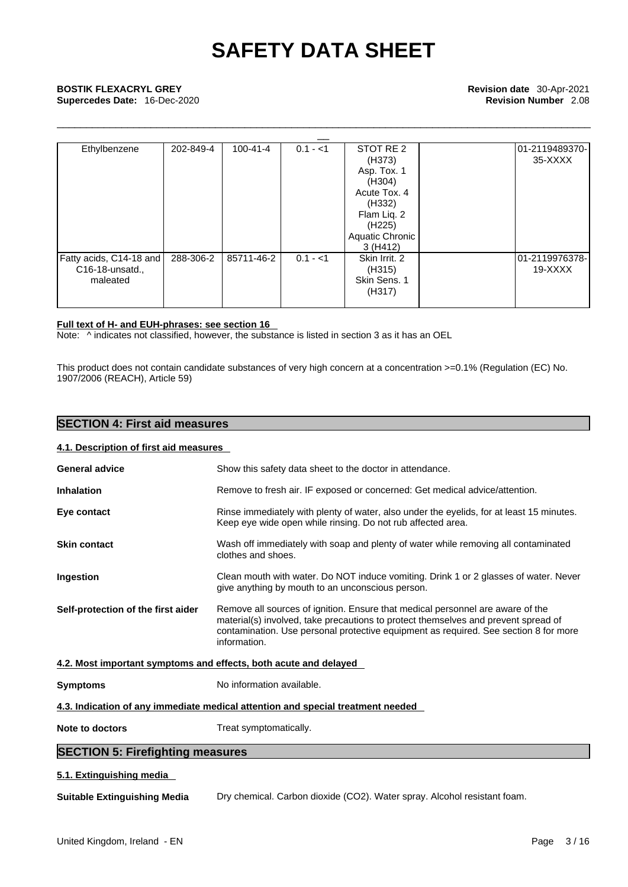\_\_\_\_\_\_\_\_\_\_\_\_\_\_\_\_\_\_\_\_\_\_\_\_\_\_\_\_\_\_\_\_\_\_\_\_\_\_\_\_\_\_\_\_\_\_\_\_\_\_\_\_\_\_\_\_\_\_\_\_\_\_\_\_\_\_\_\_\_\_\_\_\_\_\_\_\_\_\_\_\_\_\_\_\_\_\_\_\_\_\_

**Supercedes Date:** 16-Dec-2020 **Revision Number** 2.08

| <b>BOSTIK FLEXACRYL GREY</b><br>Supercedes Date: 16-Dec-2020 |           |                |           |                                                                                                                                             | Revision date 30-Apr-2021<br><b>Revision Number 2.08</b> |
|--------------------------------------------------------------|-----------|----------------|-----------|---------------------------------------------------------------------------------------------------------------------------------------------|----------------------------------------------------------|
| Ethylbenzene                                                 | 202-849-4 | $100 - 41 - 4$ | $0.1 - 1$ | STOT RE 2<br>(H373)<br>Asp. Tox. 1<br>(H304)<br>Acute Tox, 4<br>(H332)<br>Flam Liq. 2<br>(H <sub>225</sub> )<br>Aquatic Chronic<br>3 (H412) | 01-2119489370-<br>35-XXXX                                |
| Fatty acids, C14-18 and<br>C16-18-unsatd.,<br>maleated       | 288-306-2 | 85711-46-2     | $0.1 - 1$ | Skin Irrit, 2<br>(H315)<br>Skin Sens. 1<br>(H317)                                                                                           | 01-2119976378-<br>19-XXXX                                |

## **Full text of H- and EUH-phrases: see section 16**

Note: ^ indicates not classified, however, the substance is listed in section 3 as it has an OEL

This product does not contain candidate substances of very high concern at a concentration >=0.1% (Regulation (EC) No. 1907/2006 (REACH), Article 59)

# **SECTION 4: First aid measures**

## **4.1. Description of first aid measures**

| <b>General advice</b>                                            | Show this safety data sheet to the doctor in attendance.                                                                                                                                                                                                                     |
|------------------------------------------------------------------|------------------------------------------------------------------------------------------------------------------------------------------------------------------------------------------------------------------------------------------------------------------------------|
| <b>Inhalation</b>                                                | Remove to fresh air. IF exposed or concerned: Get medical advice/attention.                                                                                                                                                                                                  |
| Eye contact                                                      | Rinse immediately with plenty of water, also under the eyelids, for at least 15 minutes.<br>Keep eye wide open while rinsing. Do not rub affected area.                                                                                                                      |
| <b>Skin contact</b>                                              | Wash off immediately with soap and plenty of water while removing all contaminated<br>clothes and shoes.                                                                                                                                                                     |
| Ingestion                                                        | Clean mouth with water. Do NOT induce vomiting. Drink 1 or 2 glasses of water. Never<br>give anything by mouth to an unconscious person.                                                                                                                                     |
| Self-protection of the first aider                               | Remove all sources of ignition. Ensure that medical personnel are aware of the<br>material(s) involved, take precautions to protect themselves and prevent spread of<br>contamination. Use personal protective equipment as required. See section 8 for more<br>information. |
| 4.2. Most important symptoms and effects, both acute and delayed |                                                                                                                                                                                                                                                                              |
| <b>Symptoms</b>                                                  | No information available.                                                                                                                                                                                                                                                    |
|                                                                  | 4.3. Indication of any immediate medical attention and special treatment needed                                                                                                                                                                                              |
| Note to doctors                                                  | Treat symptomatically.                                                                                                                                                                                                                                                       |
| <b>SECTION 5: Firefighting measures</b>                          |                                                                                                                                                                                                                                                                              |
| 5.1. Extinguishing media                                         |                                                                                                                                                                                                                                                                              |
| <b>Suitable Extinguishing Media</b>                              | Dry chemical. Carbon dioxide (CO2). Water spray. Alcohol resistant foam.                                                                                                                                                                                                     |
|                                                                  |                                                                                                                                                                                                                                                                              |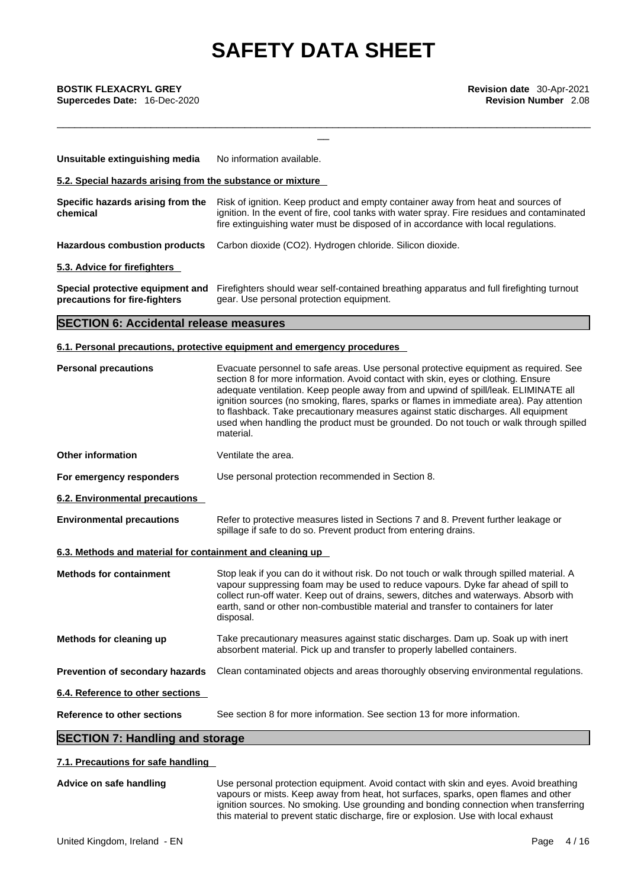\_\_\_\_\_\_\_\_\_\_\_\_\_\_\_\_\_\_\_\_\_\_\_\_\_\_\_\_\_\_\_\_\_\_\_\_\_\_\_\_\_\_\_\_\_\_\_\_\_\_\_\_\_\_\_\_\_\_\_\_\_\_\_\_\_\_\_\_\_\_\_\_\_\_\_\_\_\_\_\_\_\_\_\_\_\_\_\_\_\_\_

| Unsuitable extinguishing media                                    | No information available.                                                                                                                                                                                                                                             |
|-------------------------------------------------------------------|-----------------------------------------------------------------------------------------------------------------------------------------------------------------------------------------------------------------------------------------------------------------------|
| 5.2. Special hazards arising from the substance or mixture        |                                                                                                                                                                                                                                                                       |
| Specific hazards arising from the<br>chemical                     | Risk of ignition. Keep product and empty container away from heat and sources of<br>ignition. In the event of fire, cool tanks with water spray. Fire residues and contaminated<br>fire extinguishing water must be disposed of in accordance with local regulations. |
| Hazardous combustion products                                     | Carbon dioxide (CO2). Hydrogen chloride. Silicon dioxide.                                                                                                                                                                                                             |
| 5.3. Advice for firefighters                                      |                                                                                                                                                                                                                                                                       |
| Special protective equipment and<br>precautions for fire-fighters | Firefighters should wear self-contained breathing apparatus and full firefighting turnout<br>gear. Use personal protection equipment.                                                                                                                                 |

# **SECTION 6: Accidental release measures**

# **6.1. Personal precautions, protective equipment and emergency procedures**

| <b>Personal precautions</b>                               | Evacuate personnel to safe areas. Use personal protective equipment as required. See<br>section 8 for more information. Avoid contact with skin, eyes or clothing. Ensure<br>adequate ventilation. Keep people away from and upwind of spill/leak. ELIMINATE all<br>ignition sources (no smoking, flares, sparks or flames in immediate area). Pay attention<br>to flashback. Take precautionary measures against static discharges. All equipment<br>used when handling the product must be grounded. Do not touch or walk through spilled<br>material. |  |
|-----------------------------------------------------------|----------------------------------------------------------------------------------------------------------------------------------------------------------------------------------------------------------------------------------------------------------------------------------------------------------------------------------------------------------------------------------------------------------------------------------------------------------------------------------------------------------------------------------------------------------|--|
| <b>Other information</b>                                  | Ventilate the area.                                                                                                                                                                                                                                                                                                                                                                                                                                                                                                                                      |  |
| For emergency responders                                  | Use personal protection recommended in Section 8.                                                                                                                                                                                                                                                                                                                                                                                                                                                                                                        |  |
| <b>6.2. Environmental precautions</b>                     |                                                                                                                                                                                                                                                                                                                                                                                                                                                                                                                                                          |  |
| <b>Environmental precautions</b>                          | Refer to protective measures listed in Sections 7 and 8. Prevent further leakage or<br>spillage if safe to do so. Prevent product from entering drains.                                                                                                                                                                                                                                                                                                                                                                                                  |  |
| 6.3. Methods and material for containment and cleaning up |                                                                                                                                                                                                                                                                                                                                                                                                                                                                                                                                                          |  |
| <b>Methods for containment</b>                            | Stop leak if you can do it without risk. Do not touch or walk through spilled material. A<br>vapour suppressing foam may be used to reduce vapours. Dyke far ahead of spill to<br>collect run-off water. Keep out of drains, sewers, ditches and waterways. Absorb with<br>earth, sand or other non-combustible material and transfer to containers for later<br>disposal.                                                                                                                                                                               |  |
| Methods for cleaning up                                   | Take precautionary measures against static discharges. Dam up. Soak up with inert<br>absorbent material. Pick up and transfer to properly labelled containers.                                                                                                                                                                                                                                                                                                                                                                                           |  |
| Prevention of secondary hazards                           | Clean contaminated objects and areas thoroughly observing environmental regulations.                                                                                                                                                                                                                                                                                                                                                                                                                                                                     |  |
| 6.4. Reference to other sections                          |                                                                                                                                                                                                                                                                                                                                                                                                                                                                                                                                                          |  |
| Reference to other sections                               | See section 8 for more information. See section 13 for more information.                                                                                                                                                                                                                                                                                                                                                                                                                                                                                 |  |
| <b>SECTION 7: Handling and storage</b>                    |                                                                                                                                                                                                                                                                                                                                                                                                                                                                                                                                                          |  |

# **7.1. Precautions for safe handling**

**Advice on safe handling** Use personal protection equipment. Avoid contact with skin and eyes. Avoid breathing vapours or mists. Keep away from heat, hot surfaces, sparks, open flames and other ignition sources. No smoking. Use grounding and bonding connection when transferring this material to prevent static discharge, fire or explosion. Use with local exhaust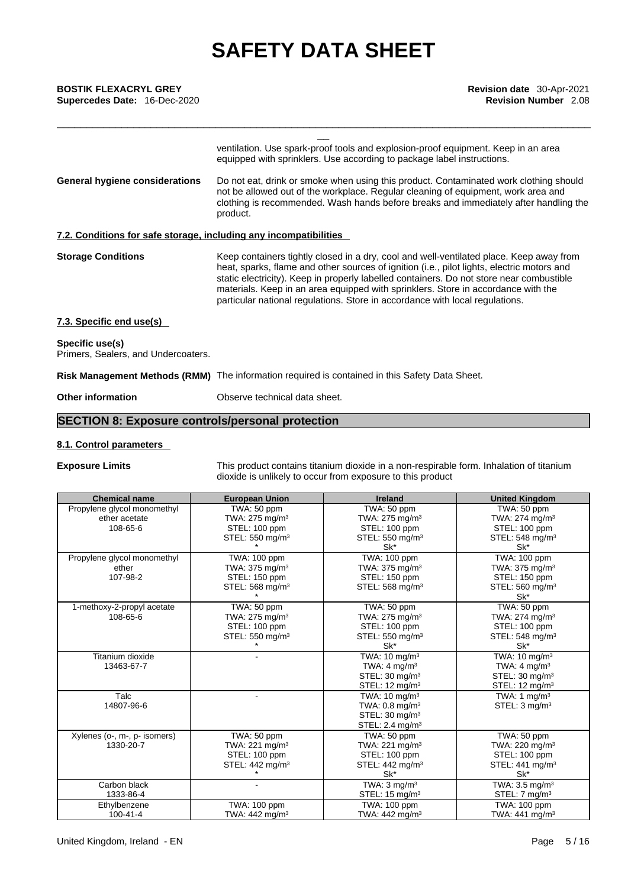**Supercedes Date:** 16-Dec-2020 **Revision Number** 2.08

| <b>BOSTIK FLEXACRYL GREY</b><br>Supercedes Date: 16-Dec-2020      | Revision date 30-Apr-2021<br><b>Revision Number 2.08</b>                                                                                                                                                                                                                                                                                                                                                                                               |
|-------------------------------------------------------------------|--------------------------------------------------------------------------------------------------------------------------------------------------------------------------------------------------------------------------------------------------------------------------------------------------------------------------------------------------------------------------------------------------------------------------------------------------------|
|                                                                   | ventilation. Use spark-proof tools and explosion-proof equipment. Keep in an area<br>equipped with sprinklers. Use according to package label instructions.                                                                                                                                                                                                                                                                                            |
| General hygiene considerations                                    | Do not eat, drink or smoke when using this product. Contaminated work clothing should<br>not be allowed out of the workplace. Regular cleaning of equipment, work area and<br>clothing is recommended. Wash hands before breaks and immediately after handling the<br>product.                                                                                                                                                                         |
| 7.2. Conditions for safe storage, including any incompatibilities |                                                                                                                                                                                                                                                                                                                                                                                                                                                        |
| <b>Storage Conditions</b>                                         | Keep containers tightly closed in a dry, cool and well-ventilated place. Keep away from<br>heat, sparks, flame and other sources of ignition (i.e., pilot lights, electric motors and<br>static electricity). Keep in properly labelled containers. Do not store near combustible<br>materials. Keep in an area equipped with sprinklers. Store in accordance with the<br>particular national regulations. Store in accordance with local regulations. |
| 7.3. Specific end use(s)                                          |                                                                                                                                                                                                                                                                                                                                                                                                                                                        |
| Specific use(s)<br>Primers, Sealers, and Undercoaters.            |                                                                                                                                                                                                                                                                                                                                                                                                                                                        |
|                                                                   | Risk Management Methods (RMM) The information required is contained in this Safety Data Sheet.                                                                                                                                                                                                                                                                                                                                                         |
|                                                                   |                                                                                                                                                                                                                                                                                                                                                                                                                                                        |

**Other information** Observe technical data sheet.

# **SECTION 8: Exposure controls/personal protection**

## **8.1. Control parameters**

**Exposure Limits** This product contains titanium dioxide in a non-respirable form. Inhalation of titanium dioxide is unlikely to occur from exposure to this product

| <b>Chemical name</b>         | <b>European Union</b>            | <b>Ireland</b>               | <b>United Kingdom</b>        |
|------------------------------|----------------------------------|------------------------------|------------------------------|
| Propylene glycol monomethyl  | TWA: 50 ppm                      | TWA: 50 ppm                  | TWA: 50 ppm                  |
| ether acetate                | TWA: 275 mg/m <sup>3</sup>       | TWA: 275 mg/m <sup>3</sup>   | TWA: 274 mg/m <sup>3</sup>   |
| 108-65-6                     | STEL: 100 ppm                    | STEL: 100 ppm                | STEL: 100 ppm                |
|                              | STEL: 550 mg/m <sup>3</sup>      | STEL: 550 mg/m <sup>3</sup>  | STEL: 548 mg/m <sup>3</sup>  |
|                              |                                  | Sk*                          | Sk*                          |
| Propylene glycol monomethyl  | <b>TWA: 100 ppm</b>              | TWA: 100 ppm                 | TWA: 100 ppm                 |
| ether                        | TWA: 375 mg/m <sup>3</sup>       | TWA: 375 mg/m <sup>3</sup>   | TWA: $375 \text{ mg/m}^3$    |
| 107-98-2                     | STEL: 150 ppm                    | STEL: 150 ppm                | STEL: 150 ppm                |
|                              | STEL: 568 mg/m <sup>3</sup>      | STEL: 568 mg/m <sup>3</sup>  | STEL: 560 mg/m <sup>3</sup>  |
|                              |                                  |                              | Sk*                          |
| 1-methoxy-2-propyl acetate   | $\overline{\text{TW}}$ A: 50 ppm | TWA: 50 ppm                  | TWA: 50 ppm                  |
| 108-65-6                     | TWA: $275$ mg/m <sup>3</sup>     | TWA: 275 mg/m <sup>3</sup>   | TWA: 274 mg/m <sup>3</sup>   |
|                              | STEL: 100 ppm                    | STEL: 100 ppm                | STEL: 100 ppm                |
|                              | STEL: 550 mg/m <sup>3</sup>      | STEL: 550 mg/m <sup>3</sup>  | STEL: 548 mg/m <sup>3</sup>  |
|                              |                                  | Sk*                          | Sk*                          |
| Titanium dioxide             |                                  | TWA: 10 mg/m <sup>3</sup>    | TWA: 10 mg/m <sup>3</sup>    |
| 13463-67-7                   |                                  | TWA: 4 mg/m <sup>3</sup>     | TWA: $4$ mg/m <sup>3</sup>   |
|                              |                                  | STEL: 30 mg/m <sup>3</sup>   | STEL: 30 mg/m <sup>3</sup>   |
|                              |                                  | STEL: 12 mg/m <sup>3</sup>   | STEL: $12 \text{ mg/m}^3$    |
| Talc                         |                                  | TWA: $10 \text{ mg/m}^3$     | TWA: 1 $mq/m3$               |
| 14807-96-6                   |                                  | TWA: $0.8$ mg/m <sup>3</sup> | STEL: 3 mg/m <sup>3</sup>    |
|                              |                                  | STEL: 30 mg/m <sup>3</sup>   |                              |
|                              |                                  | STEL: 2.4 mg/m <sup>3</sup>  |                              |
| Xylenes (o-, m-, p- isomers) | TWA: 50 ppm                      | TWA: 50 ppm                  | TWA: 50 ppm                  |
| 1330-20-7                    | TWA: 221 mg/m <sup>3</sup>       | TWA: 221 mg/m <sup>3</sup>   | TWA: 220 mg/m <sup>3</sup>   |
|                              | STEL: 100 ppm                    | STEL: 100 ppm                | STEL: 100 ppm                |
|                              | STEL: 442 mg/m <sup>3</sup>      | STEL: $442 \text{ mg/m}^3$   | STEL: $441 \text{ mg/m}^3$   |
|                              |                                  | Sk*                          | Sk*                          |
| Carbon black                 |                                  | TWA: $3 \text{ mg/m}^3$      | TWA: $3.5 \text{ mg/m}^3$    |
| 1333-86-4                    |                                  | STEL: $15 \text{ mg/m}^3$    | STEL: $7 \text{ mg/m}^3$     |
| Ethylbenzene                 | <b>TWA: 100 ppm</b>              | TWA: 100 ppm                 | TWA: 100 ppm                 |
| $100 - 41 - 4$               | TWA: 442 mg/m <sup>3</sup>       | TWA: 442 mg/m <sup>3</sup>   | TWA: $441$ mg/m <sup>3</sup> |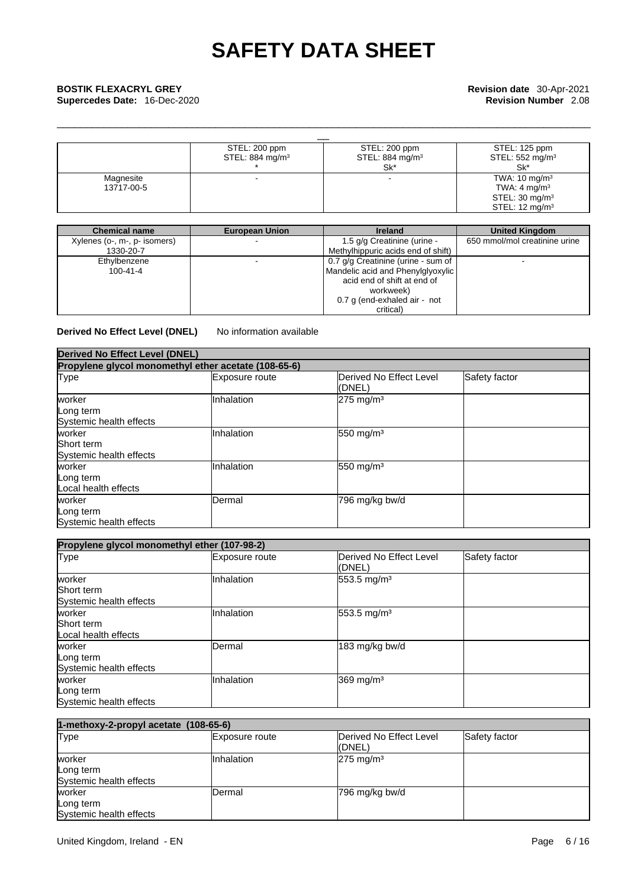| <b>BOSTIK FLEXACRYL GREY</b> |                             |                             | Revision date 30-Apr-2021                                   |  |
|------------------------------|-----------------------------|-----------------------------|-------------------------------------------------------------|--|
| Supercedes Date: 16-Dec-2020 |                             |                             | <b>Revision Number 2.08</b>                                 |  |
|                              | STEL: 200 ppm               | STEL: 200 ppm               | STEL: 125 ppm                                               |  |
|                              | STEL: 884 mg/m <sup>3</sup> | STEL: 884 mg/m <sup>3</sup> | STEL: $552 \text{ mg/m}^3$                                  |  |
| Magnesite<br>13717-00-5      |                             | Sk*                         | Sk*<br>TWA: $10 \text{ mg/m}^3$<br>TWA: 4 mg/m <sup>3</sup> |  |
|                              |                             |                             | STEL: $30 \text{ mg/m}^3$<br>STEL: $12 \text{ mg/m}^3$      |  |

\_\_\_\_\_\_\_\_\_\_\_\_\_\_\_\_\_\_\_\_\_\_\_\_\_\_\_\_\_\_\_\_\_\_\_\_\_\_\_\_\_\_\_\_\_\_\_\_\_\_\_\_\_\_\_\_\_\_\_\_\_\_\_\_\_\_\_\_\_\_\_\_\_\_\_\_\_\_\_\_\_\_\_\_\_\_\_\_\_\_\_

| <b>Chemical name</b>         | <b>European Union</b>    | <b>Ireland</b>                     | <b>United Kingdom</b>         |
|------------------------------|--------------------------|------------------------------------|-------------------------------|
| Xylenes (o-, m-, p- isomers) | $\overline{\phantom{0}}$ | 1.5 g/g Creatinine (urine -        | 650 mmol/mol creatinine urine |
| 1330-20-7                    |                          | Methylhippuric acids end of shift) |                               |
| Ethylbenzene                 |                          | 0.7 g/g Creatinine (urine - sum of |                               |
| $100 - 41 - 4$               |                          | Mandelic acid and Phenylglyoxylic  |                               |
|                              |                          | acid end of shift at end of        |                               |
|                              |                          | workweek)                          |                               |
|                              |                          | 0.7 g (end-exhaled air - not       |                               |
|                              |                          | critical)                          |                               |

**Derived No Effect Level (DNEL)** No information available

| Derived No Effect Level (DNEL)                       |                |                                           |               |  |  |
|------------------------------------------------------|----------------|-------------------------------------------|---------------|--|--|
| Propylene glycol monomethyl ether acetate (108-65-6) |                |                                           |               |  |  |
| Type                                                 | Exposure route | <b>IDerived No Effect Level</b><br>(DNEL) | Safety factor |  |  |
| worker<br>Long term<br>Systemic health effects       | Inhalation     | $275$ mg/m <sup>3</sup>                   |               |  |  |
| worker<br>Short term<br>Systemic health effects      | Inhalation     | 550 mg/m $3$                              |               |  |  |
| worker<br>Long term<br>Local health effects          | Inhalation     | 550 mg/m <sup>3</sup>                     |               |  |  |
| worker<br>Long term<br>Systemic health effects       | <b>IDermal</b> | 796 mg/kg bw/d                            |               |  |  |

| Propylene glycol monomethyl ether (107-98-2)        |                |                                           |               |  |  |
|-----------------------------------------------------|----------------|-------------------------------------------|---------------|--|--|
| <b>Type</b>                                         | Exposure route | <b>IDerived No Effect Level</b><br>(DNEL) | Safety factor |  |  |
| worker<br>Short term<br>Systemic health effects     | Inhalation     | 553.5 mg/m <sup>3</sup>                   |               |  |  |
| worker<br><b>Short term</b><br>Local health effects | Inhalation     | 553.5 mg/m <sup>3</sup>                   |               |  |  |
| worker<br>Long term<br>Systemic health effects      | Dermal         | 183 mg/kg bw/d                            |               |  |  |
| worker<br>Long term<br>Systemic health effects      | Inhalation     | 369 mg/m <sup>3</sup>                     |               |  |  |

| 1-methoxy-2-propyl acetate (108-65-6)          |                   |                                   |               |  |
|------------------------------------------------|-------------------|-----------------------------------|---------------|--|
| <b>Type</b>                                    | Exposure route    | Derived No Effect Level<br>(DNEL) | Safety factor |  |
| worker<br>Long term<br>Systemic health effects | <b>Inhalation</b> | $275 \text{ mg/m}^3$              |               |  |
| worker<br>Long term<br>Systemic health effects | Dermal            | 796 mg/kg bw/d                    |               |  |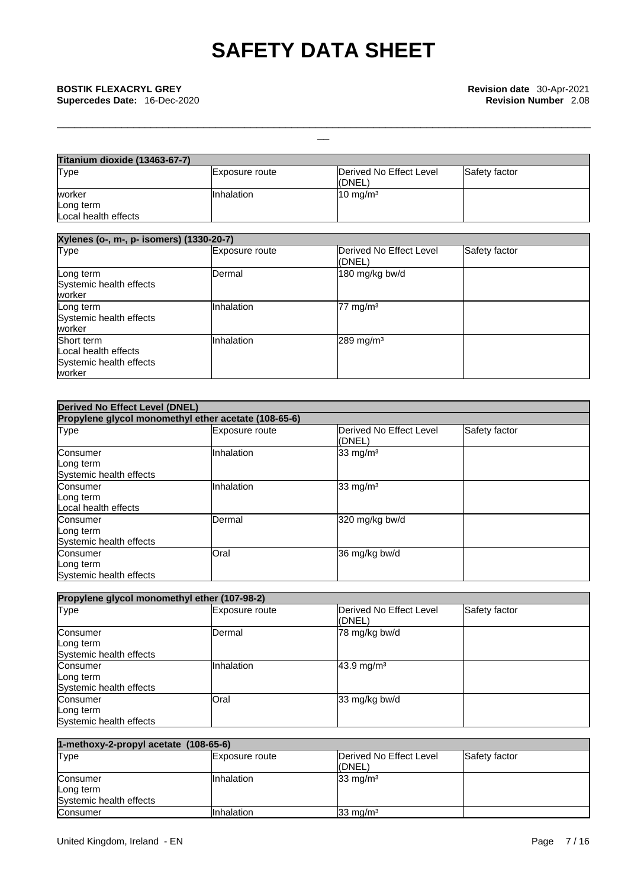| <b>Titanium dioxide (13463-67-7)</b> |                   |                         |               |
|--------------------------------------|-------------------|-------------------------|---------------|
| Type                                 | Exposure route    | Derived No Effect Level | Safety factor |
|                                      |                   | l(DNEL)                 |               |
| worker                               | <b>Inhalation</b> | $10 \text{ mg/m}^3$     |               |
| Long term                            |                   |                         |               |
| Local health effects                 |                   |                         |               |

\_\_\_\_\_\_\_\_\_\_\_\_\_\_\_\_\_\_\_\_\_\_\_\_\_\_\_\_\_\_\_\_\_\_\_\_\_\_\_\_\_\_\_\_\_\_\_\_\_\_\_\_\_\_\_\_\_\_\_\_\_\_\_\_\_\_\_\_\_\_\_\_\_\_\_\_\_\_\_\_\_\_\_\_\_\_\_\_\_\_\_

| Xylenes (o-, m-, p- isomers) (1330-20-7)                                |                |                                   |               |
|-------------------------------------------------------------------------|----------------|-----------------------------------|---------------|
| <b>Type</b>                                                             | Exposure route | Derived No Effect Level<br>(DNEL) | Safety factor |
| Long term<br>Systemic health effects<br>worker                          | <b>IDermal</b> | 180 mg/kg bw/d                    |               |
| Long term<br>Systemic health effects<br>worker                          | Inhalation     | $77 \text{ mg/m}^3$               |               |
| Short term<br>Local health effects<br>Systemic health effects<br>worker | Inhalation     | $289$ mg/m <sup>3</sup>           |               |

| <b>Derived No Effect Level (DNEL)</b>                |                       |                                   |               |
|------------------------------------------------------|-----------------------|-----------------------------------|---------------|
| Propylene glycol monomethyl ether acetate (108-65-6) |                       |                                   |               |
| Type                                                 | <b>Exposure route</b> | Derived No Effect Level<br>(DNEL) | Safety factor |
| Consumer<br>Long term<br>Systemic health effects     | Inhalation            | 33 mg/m $3$                       |               |
| Consumer<br>Long term<br>Local health effects        | Inhalation            | 33 mg/m $3$                       |               |
| Consumer<br>Long term<br>Systemic health effects     | Dermal                | 320 mg/kg bw/d                    |               |
| Consumer<br>Long term<br>Systemic health effects     | Oral                  | 36 mg/kg bw/d                     |               |

| Propylene glycol monomethyl ether (107-98-2)     |                       |                                    |               |
|--------------------------------------------------|-----------------------|------------------------------------|---------------|
| Type                                             | <b>Exposure route</b> | Derived No Effect Level<br>l(DNEL) | Safety factor |
| Consumer<br>Long term<br>Systemic health effects | <b>IDermal</b>        | 78 mg/kg bw/d                      |               |
| Consumer<br>Long term<br>Systemic health effects | Inhalation            | $43.9 \,\mathrm{mq/m^3}$           |               |
| Consumer<br>Long term<br>Systemic health effects | <b>Oral</b>           | 33 mg/kg bw/d                      |               |

| 1-methoxy-2-propyl acetate $(108-65-6)$          |                   |                                    |               |
|--------------------------------------------------|-------------------|------------------------------------|---------------|
| Type                                             | Exposure route    | Derived No Effect Level<br>l(DNEL) | Safety factor |
| Consumer<br>Long term<br>Systemic health effects | <b>Inhalation</b> | $33 \text{ mg/m}^3$                |               |
| Consumer                                         | Inhalation        | $33 \text{ mg/m}^3$                |               |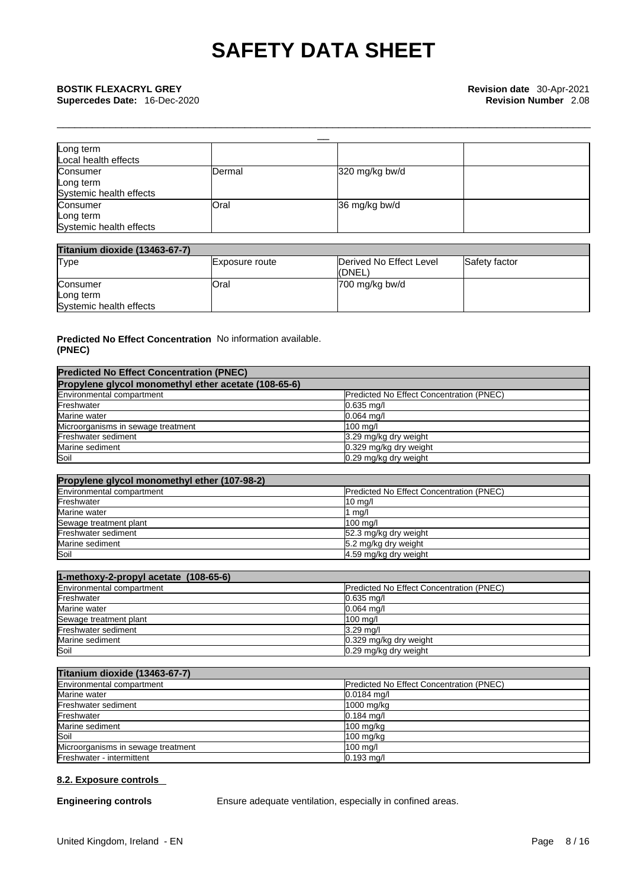| Long term<br>Local health effects                |                |                |  |
|--------------------------------------------------|----------------|----------------|--|
| Consumer<br>Long term<br>Systemic health effects | <b>IDermal</b> | 320 mg/kg bw/d |  |
| Consumer<br>Long term<br>Systemic health effects | <b>Oral</b>    | 36 mg/kg bw/d  |  |

\_\_\_\_\_\_\_\_\_\_\_\_\_\_\_\_\_\_\_\_\_\_\_\_\_\_\_\_\_\_\_\_\_\_\_\_\_\_\_\_\_\_\_\_\_\_\_\_\_\_\_\_\_\_\_\_\_\_\_\_\_\_\_\_\_\_\_\_\_\_\_\_\_\_\_\_\_\_\_\_\_\_\_\_\_\_\_\_\_\_\_

| <b>Titanium dioxide (13463-67-7)</b> |                |                         |               |
|--------------------------------------|----------------|-------------------------|---------------|
| Type                                 | Exposure route | Derived No Effect Level | Safety factor |
|                                      |                | (DNEL)                  |               |
| Consumer                             | <b>Oral</b>    | 700 mg/kg bw/d          |               |
| Long term                            |                |                         |               |
| Systemic health effects              |                |                         |               |

### **Predicted No Effect Concentration** No information available. **(PNEC)**

| <b>Predicted No Effect Concentration (PNEC)</b>      |                                          |
|------------------------------------------------------|------------------------------------------|
| Propylene glycol monomethyl ether acetate (108-65-6) |                                          |
| Environmental compartment                            | Predicted No Effect Concentration (PNEC) |
| Freshwater                                           | $0.635$ mg/l                             |
| Marine water                                         | $0.064$ ma/l                             |
| Microorganisms in sewage treatment                   | 100 mg/l                                 |
| Freshwater sediment                                  | 3.29 mg/kg dry weight                    |
| Marine sediment                                      | 0.329 mg/kg dry weight                   |
| Soil                                                 | 0.29 mg/kg dry weight                    |

| Propylene glycol monomethyl ether (107-98-2) |                                                 |
|----------------------------------------------|-------------------------------------------------|
| Environmental compartment                    | <b>Predicted No Effect Concentration (PNEC)</b> |
| Freshwater                                   | $10 \text{ mg/l}$                               |
| Marine water                                 | 1 mg/l                                          |
| Sewage treatment plant                       | 100 ma/l                                        |
| Freshwater sediment                          | 52.3 mg/kg dry weight                           |
| Marine sediment                              | 5.2 mg/kg dry weight                            |
| Soil                                         | 4.59 mg/kg dry weight                           |

| 1-methoxy-2-propyl acetate (108-65-6) |                                          |
|---------------------------------------|------------------------------------------|
| Environmental compartment             | Predicted No Effect Concentration (PNEC) |
| Freshwater                            | $0.635$ mg/l                             |
| Marine water                          | $0.064$ mg/l                             |
| Sewage treatment plant                | $100$ mg/l                               |
| Freshwater sediment                   | $3.29$ mg/                               |
| Marine sediment                       | 0.329 mg/kg dry weight                   |
| Soil                                  | 0.29 mg/kg dry weight                    |

| <b>Titanium dioxide (13463-67-7)</b> |                                                  |
|--------------------------------------|--------------------------------------------------|
| Environmental compartment            | <b>IPredicted No Effect Concentration (PNEC)</b> |
| Marine water                         | $0.0184$ mg/l                                    |
| Freshwater sediment                  | 1000 mg/kg                                       |
| Freshwater                           | $0.184$ ma/l                                     |
| Marine sediment                      | $100 \text{ mg/kg}$                              |
| Soil                                 | $100$ mg/kg                                      |
| Microorganisms in sewage treatment   | 100 mg/l                                         |
| Freshwater - intermittent            | $0.193$ mg/l                                     |

## **8.2. Exposure controls**

**Engineering controls** Ensure adequate ventilation, especially in confined areas.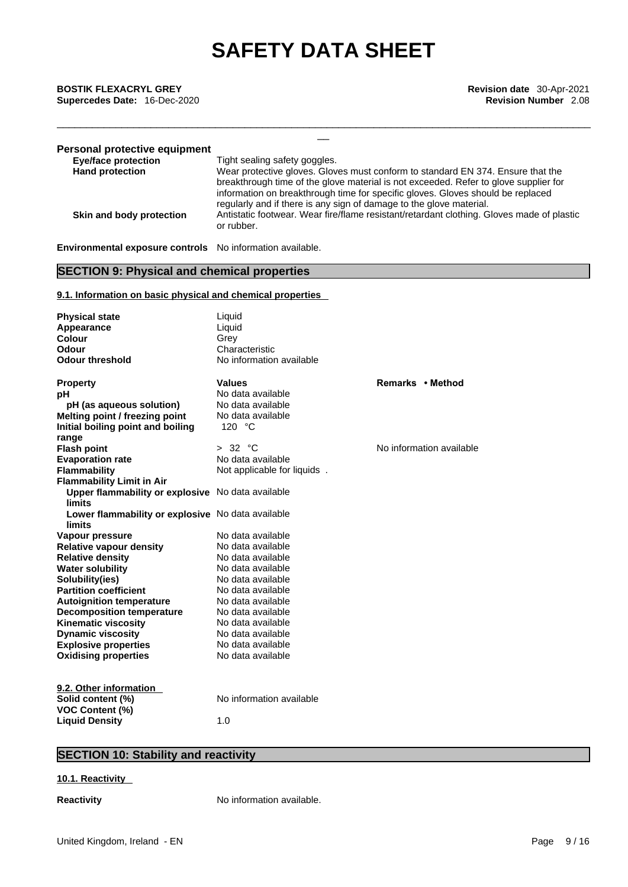\_\_ **BOSTIK FLEXACRYL GREY Revision date** 30-Apr-2021 **Supercedes Date:** 16-Dec-2020 **Revision Number** 2.08

| <b>Personal protective equipment</b> |                                                                                                         |
|--------------------------------------|---------------------------------------------------------------------------------------------------------|
| <b>Eye/face protection</b>           | Tight sealing safety goggles.                                                                           |
| <b>Hand protection</b>               | Wear protective gloves. Gloves must conform to standard EN 374. Ensure that the                         |
|                                      | breakthrough time of the glove material is not exceeded. Refer to glove supplier for                    |
|                                      | information on breakthrough time for specific gloves. Gloves should be replaced                         |
|                                      | regularly and if there is any sign of damage to the glove material.                                     |
| Skin and body protection             | Antistatic footwear. Wear fire/flame resistant/retardant clothing. Gloves made of plastic<br>or rubber. |

\_\_\_\_\_\_\_\_\_\_\_\_\_\_\_\_\_\_\_\_\_\_\_\_\_\_\_\_\_\_\_\_\_\_\_\_\_\_\_\_\_\_\_\_\_\_\_\_\_\_\_\_\_\_\_\_\_\_\_\_\_\_\_\_\_\_\_\_\_\_\_\_\_\_\_\_\_\_\_\_\_\_\_\_\_\_\_\_\_\_\_

**Environmental exposure controls** No information available.

# **SECTION 9: Physical and chemical properties**

## **9.1. Information on basic physical and chemical properties**

| <b>Physical state</b><br>Appearance               | Liquid<br>Liquid            |                          |
|---------------------------------------------------|-----------------------------|--------------------------|
| Colour                                            | Grey                        |                          |
| Odour                                             | Characteristic              |                          |
| <b>Odour threshold</b>                            | No information available    |                          |
|                                                   |                             |                          |
| <b>Property</b>                                   | <b>Values</b>               | Remarks • Method         |
| рH                                                | No data available           |                          |
| pH (as aqueous solution)                          | No data available           |                          |
| Melting point / freezing point                    | No data available           |                          |
| Initial boiling point and boiling                 | 120 $\degree$ C             |                          |
| range                                             |                             |                          |
| <b>Flash point</b>                                | > 32 °C                     | No information available |
| <b>Evaporation rate</b>                           | No data available           |                          |
| <b>Flammability</b>                               | Not applicable for liquids. |                          |
| <b>Flammability Limit in Air</b>                  |                             |                          |
| Upper flammability or explosive No data available |                             |                          |
| <b>limits</b>                                     |                             |                          |
| Lower flammability or explosive No data available |                             |                          |
| limits                                            |                             |                          |
| Vapour pressure                                   | No data available           |                          |
| <b>Relative vapour density</b>                    | No data available           |                          |
| <b>Relative density</b>                           | No data available           |                          |
| <b>Water solubility</b>                           | No data available           |                          |
| Solubility(ies)                                   | No data available           |                          |
| <b>Partition coefficient</b>                      | No data available           |                          |
| <b>Autoignition temperature</b>                   | No data available           |                          |
| <b>Decomposition temperature</b>                  | No data available           |                          |
| <b>Kinematic viscosity</b>                        | No data available           |                          |
| <b>Dynamic viscosity</b>                          | No data available           |                          |
| <b>Explosive properties</b>                       | No data available           |                          |
| <b>Oxidising properties</b>                       | No data available           |                          |
|                                                   |                             |                          |
| 9.2. Other information                            |                             |                          |
| Solid content (%)                                 | No information available    |                          |
| <b>VOC Content (%)</b>                            |                             |                          |
| <b>Liquid Density</b>                             | 1.0                         |                          |

# **SECTION 10: Stability and reactivity**

## **10.1. Reactivity**

**Reactivity No information available.**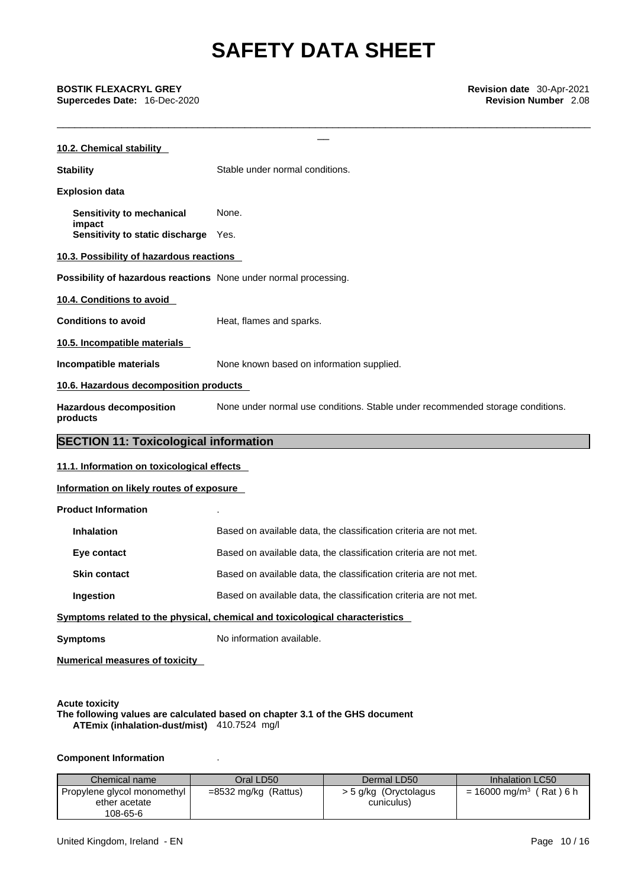\_\_\_\_\_\_\_\_\_\_\_\_\_\_\_\_\_\_\_\_\_\_\_\_\_\_\_\_\_\_\_\_\_\_\_\_\_\_\_\_\_\_\_\_\_\_\_\_\_\_\_\_\_\_\_\_\_\_\_\_\_\_\_\_\_\_\_\_\_\_\_\_\_\_\_\_\_\_\_\_\_\_\_\_\_\_\_\_\_\_\_

**Supercedes Date:** 16-Dec-2020 **Revision Number** 2.08

| <b>BOSTIK FLEXACRYL GREY</b><br>Supercedes Date: 16-Dec-2020     | Revision date 30-Apr-2021<br><b>Revision Number 2.08</b>                       |
|------------------------------------------------------------------|--------------------------------------------------------------------------------|
| 10.2. Chemical stability                                         |                                                                                |
| <b>Stability</b>                                                 | Stable under normal conditions.                                                |
| <b>Explosion data</b>                                            |                                                                                |
| Sensitivity to mechanical                                        | None.                                                                          |
| impact<br>Sensitivity to static discharge Yes.                   |                                                                                |
| 10.3. Possibility of hazardous reactions                         |                                                                                |
| Possibility of hazardous reactions None under normal processing. |                                                                                |
| 10.4. Conditions to avoid                                        |                                                                                |
| <b>Conditions to avoid</b>                                       | Heat, flames and sparks.                                                       |
| 10.5. Incompatible materials                                     |                                                                                |
| Incompatible materials                                           | None known based on information supplied.                                      |
| 10.6. Hazardous decomposition products                           |                                                                                |
| <b>Hazardous decomposition</b><br>products                       | None under normal use conditions. Stable under recommended storage conditions. |
| <b>SECTION 11: Toxicological information</b>                     |                                                                                |
| 11.1. Information on toxicological effects                       |                                                                                |
| Information on likely routes of exposure                         |                                                                                |
| <b>Product Information</b>                                       |                                                                                |
| <b>Inhalation</b>                                                | Based on available data, the classification criteria are not met.              |
| Eye contact                                                      | Based on available data, the classification criteria are not met.              |
| <b>Skin contact</b>                                              | Based on available data, the classification criteria are not met.              |
| Ingestion                                                        | Based on available data, the classification criteria are not met.              |
|                                                                  | Symptoms related to the physical, chemical and toxicological characteristics   |
| <b>Symptoms</b>                                                  | No information available.                                                      |
| Numerical measures of toxicity                                   |                                                                                |
|                                                                  |                                                                                |
|                                                                  |                                                                                |

**Acute toxicity The following values are calculated based on chapter 3.1 of the GHS document ATEmix (inhalation-dust/mist)** 410.7524 mg/l

# **Component Information** .

| Chemical name               | Oral LD50              | Dermal LD50           | Inhalation LC50                       |
|-----------------------------|------------------------|-----------------------|---------------------------------------|
| Propylene glycol monomethyl | $=8532$ mg/kg (Rattus) | > 5 g/kg (Oryctolagus | $= 16000$ mg/m <sup>3</sup> (Rat) 6 h |
| ether acetate               |                        | cuniculus)            |                                       |
| 108-65-6                    |                        |                       |                                       |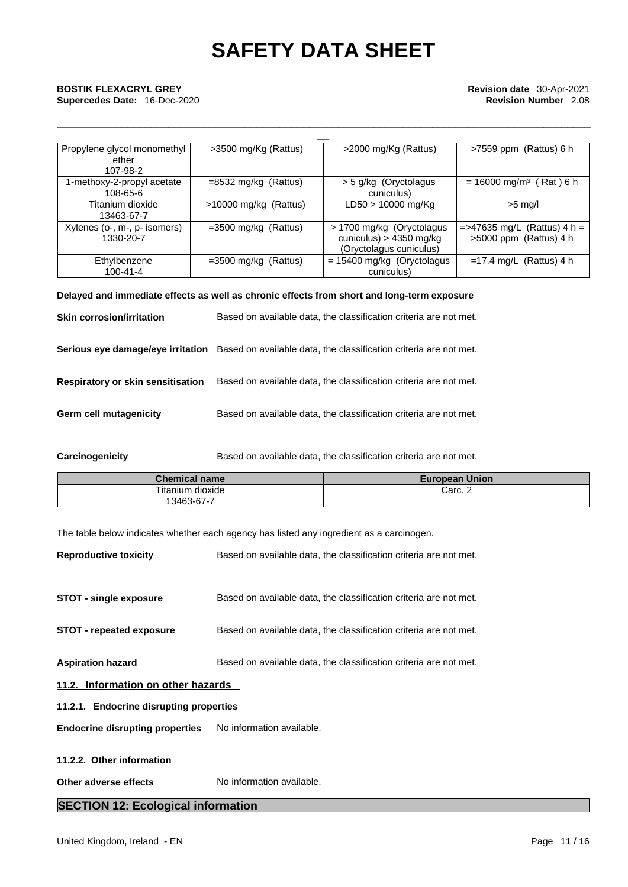\_\_\_\_\_\_\_\_\_\_\_\_\_\_\_\_\_\_\_\_\_\_\_\_\_\_\_\_\_\_\_\_\_\_\_\_\_\_\_\_\_\_\_\_\_\_\_\_\_\_\_\_\_\_\_\_\_\_\_\_\_\_\_\_\_\_\_\_\_\_\_\_\_\_\_\_\_\_\_\_\_\_\_\_\_\_\_\_\_\_\_

| Propylene glycol monomethyl<br>ether<br>107-98-2 | >3500 mg/Kg (Rattus)    | >2000 mg/Kg (Rattus)                                                               | $>7559$ ppm (Rattus) 6 h                                   |
|--------------------------------------------------|-------------------------|------------------------------------------------------------------------------------|------------------------------------------------------------|
| I-methoxy-2-propyl acetate<br>108-65-6           | $=8532$ mg/kg (Rattus)  | > 5 g/kg (Oryctolagus<br>cuniculus)                                                | $= 16000$ mg/m <sup>3</sup> (Rat) 6 h                      |
| Titanium dioxide<br>13463-67-7                   | $>10000$ mg/kg (Rattus) | LD50 > 10000 mg/Kg                                                                 | $>5$ mg/l                                                  |
| Xylenes (o-, m-, p- isomers)<br>1330-20-7        | $=3500$ mg/kg (Rattus)  | > 1700 mg/kg (Oryctolagus)<br>cuniculus) > $4350$ mg/kg<br>(Oryctolagus cuniculus) | $=$ >47635 mg/L (Rattus) 4 h =<br>$>5000$ ppm (Rattus) 4 h |
| Ethylbenzene<br>$100 - 41 - 4$                   | $=3500$ mg/kg (Rattus)  | $= 15400$ mg/kg (Oryctolagus<br>cuniculus)                                         | $=17.4$ mg/L (Rattus) 4 h                                  |

# **Delayed and immediate effects as well as chronic effects from short and long-term exposure**

| <b>Skin corrosion/irritation</b>  | Based on available data, the classification criteria are not met.                                   |
|-----------------------------------|-----------------------------------------------------------------------------------------------------|
|                                   | Serious eye damage/eye irritation Based on available data, the classification criteria are not met. |
| Respiratory or skin sensitisation | Based on available data, the classification criteria are not met.                                   |
| <b>Germ cell mutagenicity</b>     | Based on available data, the classification criteria are not met.                                   |

**Carcinogenicity** Based on available data, the classification criteria are not met.

| <b>Chemical name</b> | <b>European Union</b> |
|----------------------|-----------------------|
| Titanium dioxide     | Carc. 2               |
| 3463-67-7            |                       |

The table below indicates whether each agency has listed any ingredient as a carcinogen.

| <b>Reproductive toxicity</b>              | Based on available data, the classification criteria are not met. |  |  |
|-------------------------------------------|-------------------------------------------------------------------|--|--|
|                                           |                                                                   |  |  |
| <b>STOT - single exposure</b>             | Based on available data, the classification criteria are not met. |  |  |
| <b>STOT - repeated exposure</b>           | Based on available data, the classification criteria are not met. |  |  |
| <b>Aspiration hazard</b>                  | Based on available data, the classification criteria are not met. |  |  |
| 11.2. Information on other hazards        |                                                                   |  |  |
| 11.2.1. Endocrine disrupting properties   |                                                                   |  |  |
| <b>Endocrine disrupting properties</b>    | No information available.                                         |  |  |
| 11.2.2. Other information                 |                                                                   |  |  |
|                                           |                                                                   |  |  |
| Other adverse effects                     | No information available.                                         |  |  |
| <b>SECTION 12: Ecological information</b> |                                                                   |  |  |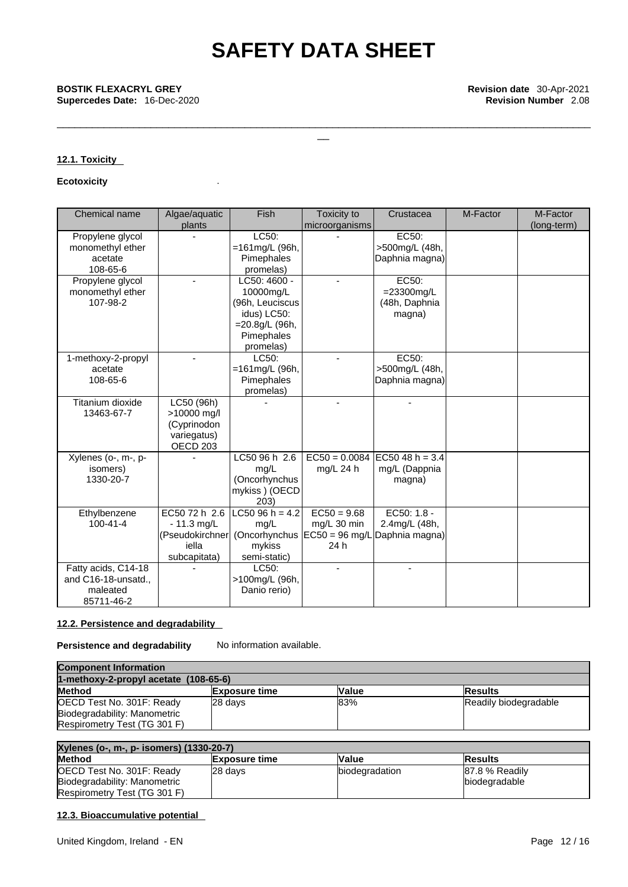\_\_\_\_\_\_\_\_\_\_\_\_\_\_\_\_\_\_\_\_\_\_\_\_\_\_\_\_\_\_\_\_\_\_\_\_\_\_\_\_\_\_\_\_\_\_\_\_\_\_\_\_\_\_\_\_\_\_\_\_\_\_\_\_\_\_\_\_\_\_\_\_\_\_\_\_\_\_\_\_\_\_\_\_\_\_\_\_\_\_\_

## **12.1. Toxicity**

## **Ecotoxicity** .

| Chemical name                                                        | Algae/aquatic<br>plants                                                        | Fish                                                                                                     | Toxicity to<br>microorganisms        | Crustacea                                                                                     | M-Factor | M-Factor<br>(long-term) |
|----------------------------------------------------------------------|--------------------------------------------------------------------------------|----------------------------------------------------------------------------------------------------------|--------------------------------------|-----------------------------------------------------------------------------------------------|----------|-------------------------|
| Propylene glycol<br>monomethyl ether<br>acetate<br>108-65-6          |                                                                                | LC50:<br>$=161$ mg/L (96h,<br>Pimephales<br>promelas)                                                    |                                      | EC50:<br>>500mg/L (48h,<br>Daphnia magna)                                                     |          |                         |
| Propylene glycol<br>monomethyl ether<br>107-98-2                     |                                                                                | LC50: 4600 -<br>10000mg/L<br>(96h, Leuciscus<br>idus) LC50:<br>=20.8g/L (96h,<br>Pimephales<br>promelas) |                                      | EC50:<br>$=23300$ mg/L<br>(48h, Daphnia<br>magna)                                             |          |                         |
| 1-methoxy-2-propyl<br>acetate<br>108-65-6                            |                                                                                | LC50:<br>=161mg/L (96h,<br>Pimephales<br>promelas)                                                       | ٠                                    | EC50:<br>>500mg/L (48h,<br>Daphnia magna)                                                     |          |                         |
| Titanium dioxide<br>13463-67-7                                       | LC50 (96h)<br>>10000 mg/l<br>(Cyprinodon<br>variegatus)<br>OECD <sub>203</sub> |                                                                                                          |                                      | $\blacksquare$                                                                                |          |                         |
| Xylenes (o-, m-, p-<br>isomers)<br>1330-20-7                         |                                                                                | LC50 96 h 2.6<br>mg/L<br>(Oncorhynchus<br>mykiss ) (OECD<br>203)                                         | mg/L 24 h                            | $EC50 = 0.0084$ EC50 48 h = 3.4<br>mg/L (Dappnia<br>magna)                                    |          |                         |
| Ethylbenzene<br>$100 - 41 - 4$                                       | EC50 72 h 2.6<br>$-11.3$ mg/L<br>iella<br>subcapitata)                         | $LC5096h = 4.2$<br>mg/L<br>mykiss<br>semi-static)                                                        | $EC50 = 9.68$<br>mg/L 30 min<br>24 h | EC50: $1.8 -$<br>2.4mg/L (48h,<br>(Pseudokirchner (Oncorhynchus EC50 = 96 mg/L Daphnia magna) |          |                         |
| Fatty acids, C14-18<br>and C16-18-unsatd.,<br>maleated<br>85711-46-2 |                                                                                | LC50:<br>>100mg/L (96h,<br>Danio rerio)                                                                  |                                      |                                                                                               |          |                         |

### **12.2. Persistence and degradability**

**Persistence and degradability** No information available.

| <b>Component Information</b>            |                      |              |                       |
|-----------------------------------------|----------------------|--------------|-----------------------|
| 1-methoxy-2-propyl acetate $(108-65-6)$ |                      |              |                       |
| <b>Method</b>                           | <b>Exposure time</b> | <b>Value</b> | <b>Results</b>        |
| OECD Test No. 301F: Ready               | 28 days              | 83%          | Readily biodegradable |
| Biodegradability: Manometric            |                      |              |                       |
| Respirometry Test (TG 301 F)            |                      |              |                       |

| Xylenes (o-, m-, p- isomers) (1330-20-7) |                      |                |                |
|------------------------------------------|----------------------|----------------|----------------|
| Method                                   | <b>Exposure time</b> | <b>Value</b>   | <b>Results</b> |
| OECD Test No. 301F: Ready                | 28 days              | biodegradation | 87.8 % Readily |
| Biodegradability: Manometric             |                      |                | biodegradable  |
| Respirometry Test (TG 301 F)             |                      |                |                |

# **12.3. Bioaccumulative potential**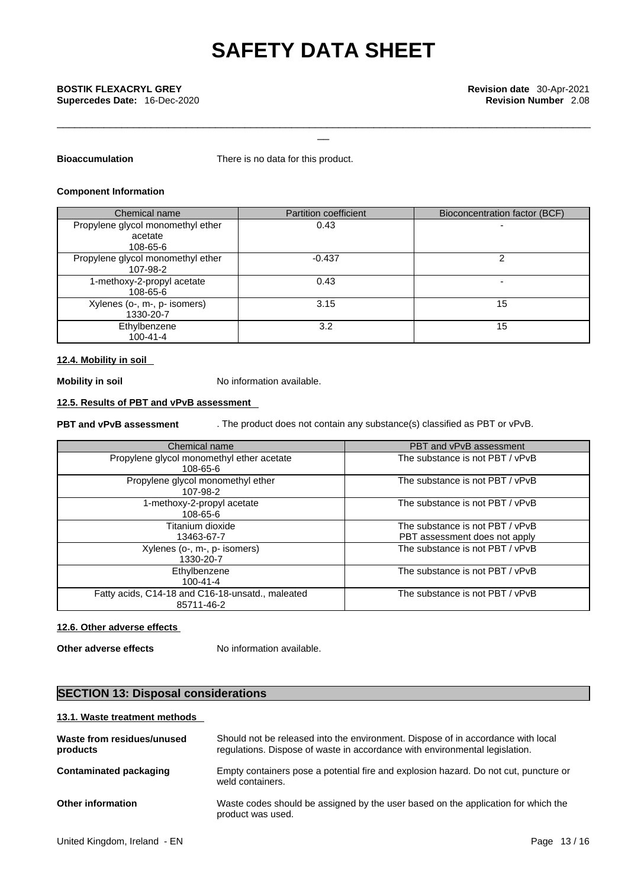\_\_\_\_\_\_\_\_\_\_\_\_\_\_\_\_\_\_\_\_\_\_\_\_\_\_\_\_\_\_\_\_\_\_\_\_\_\_\_\_\_\_\_\_\_\_\_\_\_\_\_\_\_\_\_\_\_\_\_\_\_\_\_\_\_\_\_\_\_\_\_\_\_\_\_\_\_\_\_\_\_\_\_\_\_\_\_\_\_\_\_

**Bioaccumulation** There is no data for this product.

### **Component Information**

| Chemical name                     | <b>Partition coefficient</b> | Bioconcentration factor (BCF) |
|-----------------------------------|------------------------------|-------------------------------|
| Propylene glycol monomethyl ether | 0.43                         | -                             |
| acetate                           |                              |                               |
| 108-65-6                          |                              |                               |
| Propylene glycol monomethyl ether | $-0.437$                     |                               |
| 107-98-2                          |                              |                               |
| 1-methoxy-2-propyl acetate        | 0.43                         |                               |
| 108-65-6                          |                              |                               |
| Xylenes (o-, m-, p- isomers)      | 3.15                         | 15                            |
| 1330-20-7                         |                              |                               |
| Ethylbenzene                      | 3.2                          | 15                            |
| $100 - 41 - 4$                    |                              |                               |

### **12.4. Mobility in soil**

**Mobility in soil** No information available.

# **12.5. Results of PBT and vPvB assessment**

**PBT and vPvB assessment** . The product does not contain any substance(s) classified as PBT or vPvB.

| Chemical name                                                  | PBT and vPvB assessment                                          |
|----------------------------------------------------------------|------------------------------------------------------------------|
| Propylene glycol monomethyl ether acetate<br>108-65-6          | The substance is not PBT / vPvB                                  |
| Propylene glycol monomethyl ether<br>107-98-2                  | The substance is not PBT / vPvB                                  |
| 1-methoxy-2-propyl acetate<br>108-65-6                         | The substance is not PBT / vPvB                                  |
| Titanium dioxide<br>13463-67-7                                 | The substance is not PBT / vPvB<br>PBT assessment does not apply |
| Xylenes (o-, m-, p- isomers)<br>1330-20-7                      | The substance is not PBT / vPvB                                  |
| Ethylbenzene<br>$100 - 41 - 4$                                 | The substance is not PBT / vPvB                                  |
| Fatty acids, C14-18 and C16-18-unsatd., maleated<br>85711-46-2 | The substance is not PBT / vPvB                                  |

### **12.6. Other adverse effects**

**Other adverse effects** No information available.

# **SECTION 13: Disposal considerations**

### **13.1. Waste treatment methods**

| Waste from residues/unused<br>products | Should not be released into the environment. Dispose of in accordance with local<br>regulations. Dispose of waste in accordance with environmental legislation. |
|----------------------------------------|-----------------------------------------------------------------------------------------------------------------------------------------------------------------|
| Contaminated packaging                 | Empty containers pose a potential fire and explosion hazard. Do not cut, puncture or<br>weld containers.                                                        |
| <b>Other information</b>               | Waste codes should be assigned by the user based on the application for which the<br>product was used.                                                          |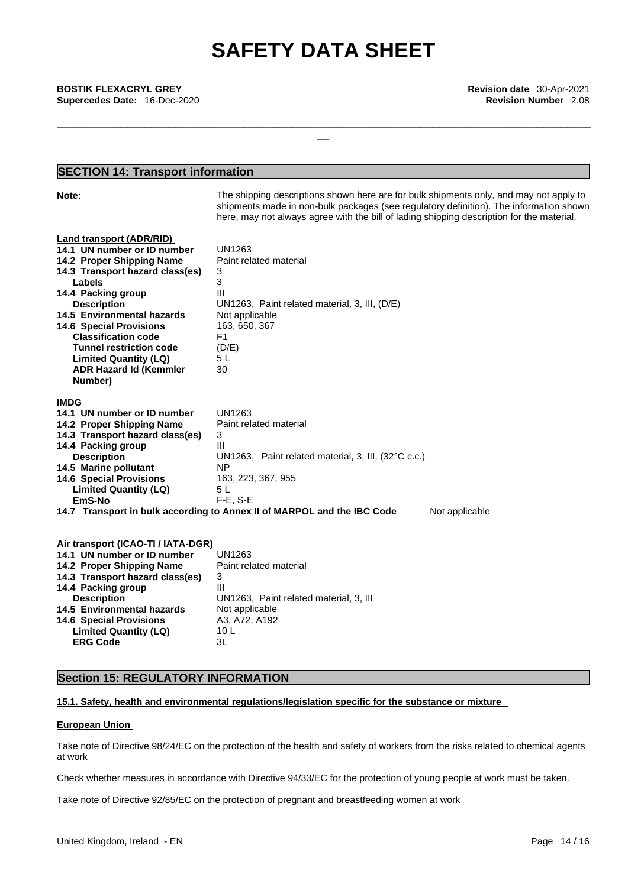\_\_\_\_\_\_\_\_\_\_\_\_\_\_\_\_\_\_\_\_\_\_\_\_\_\_\_\_\_\_\_\_\_\_\_\_\_\_\_\_\_\_\_\_\_\_\_\_\_\_\_\_\_\_\_\_\_\_\_\_\_\_\_\_\_\_\_\_\_\_\_\_\_\_\_\_\_\_\_\_\_\_\_\_\_\_\_\_\_\_\_

\_\_ **BOSTIK FLEXACRYL GREY Revision date** 30-Apr-2021 **Supercedes Date:** 16-Dec-2020 **Revision Number** 2.08

# **SECTION 14: Transport information**

| Note:                                                                                                                                    | The shipping descriptions shown here are for bulk shipments only, and may not apply to<br>shipments made in non-bulk packages (see regulatory definition). The information shown<br>here, may not always agree with the bill of lading shipping description for the material. |
|------------------------------------------------------------------------------------------------------------------------------------------|-------------------------------------------------------------------------------------------------------------------------------------------------------------------------------------------------------------------------------------------------------------------------------|
| <b>Land transport (ADR/RID)</b><br>14.1 UN number or ID number<br>14.2 Proper Shipping Name<br>14.3 Transport hazard class(es)<br>Labels | <b>UN1263</b><br>Paint related material<br>3<br>3                                                                                                                                                                                                                             |
| 14.4 Packing group<br><b>Description</b>                                                                                                 | Ш<br>UN1263, Paint related material, 3, III, (D/E)                                                                                                                                                                                                                            |
| 14.5 Environmental hazards<br><b>14.6 Special Provisions</b><br><b>Classification code</b>                                               | Not applicable<br>163, 650, 367<br>F1                                                                                                                                                                                                                                         |
| <b>Tunnel restriction code</b><br><b>Limited Quantity (LQ)</b><br><b>ADR Hazard Id (Kemmler</b><br>Number)                               | (D/E)<br>5 L<br>30                                                                                                                                                                                                                                                            |
| <b>IMDG</b><br>14.1 UN number or ID number                                                                                               | UN1263                                                                                                                                                                                                                                                                        |
| 14.2 Proper Shipping Name                                                                                                                | Paint related material                                                                                                                                                                                                                                                        |
| 14.3 Transport hazard class(es)                                                                                                          | 3                                                                                                                                                                                                                                                                             |
| 14.4 Packing group                                                                                                                       | $\mathbf{III}$                                                                                                                                                                                                                                                                |
| <b>Description</b>                                                                                                                       | UN1263, Paint related material, 3, III, (32°C c.c.)                                                                                                                                                                                                                           |
| 14.5 Marine pollutant                                                                                                                    | ΝP                                                                                                                                                                                                                                                                            |
| <b>14.6 Special Provisions</b>                                                                                                           | 163, 223, 367, 955                                                                                                                                                                                                                                                            |
| <b>Limited Quantity (LQ)</b>                                                                                                             | 5L                                                                                                                                                                                                                                                                            |
| EmS-No                                                                                                                                   | $F-E$ , S-E                                                                                                                                                                                                                                                                   |
|                                                                                                                                          | 14.7 Transport in bulk according to Annex II of MARPOL and the IBC Code<br>Not applicable                                                                                                                                                                                     |
| Air transport (ICAO-TI / IATA-DGR)                                                                                                       |                                                                                                                                                                                                                                                                               |
| 14.1 UN number or ID number                                                                                                              | UN1263                                                                                                                                                                                                                                                                        |
| 14.2 Proper Shipping Name<br>14.3 Transport hazard class(es)                                                                             | Paint related material<br>3                                                                                                                                                                                                                                                   |
| 14.4 Packing group                                                                                                                       | Ш                                                                                                                                                                                                                                                                             |
| <b>Description</b>                                                                                                                       | UN1263, Paint related material, 3, III                                                                                                                                                                                                                                        |
| 14.5 Environmental hazards                                                                                                               | Not applicable                                                                                                                                                                                                                                                                |
| <b>14.6 Special Provisions</b>                                                                                                           | A3, A72, A192                                                                                                                                                                                                                                                                 |
| <b>Limited Quantity (LQ)</b>                                                                                                             | 10 <sub>L</sub>                                                                                                                                                                                                                                                               |
| <b>ERG Code</b>                                                                                                                          | 3L                                                                                                                                                                                                                                                                            |

## **Section 15: REGULATORY INFORMATION**

**15.1. Safety, health and environmental regulations/legislation specific for the substance or mixture**

**European Union** 

Take note of Directive 98/24/EC on the protection of the health and safety of workers from the risks related to chemical agents at work

Check whether measures in accordance with Directive 94/33/EC for the protection of young people at work must be taken.

Take note of Directive 92/85/EC on the protection of pregnant and breastfeeding women at work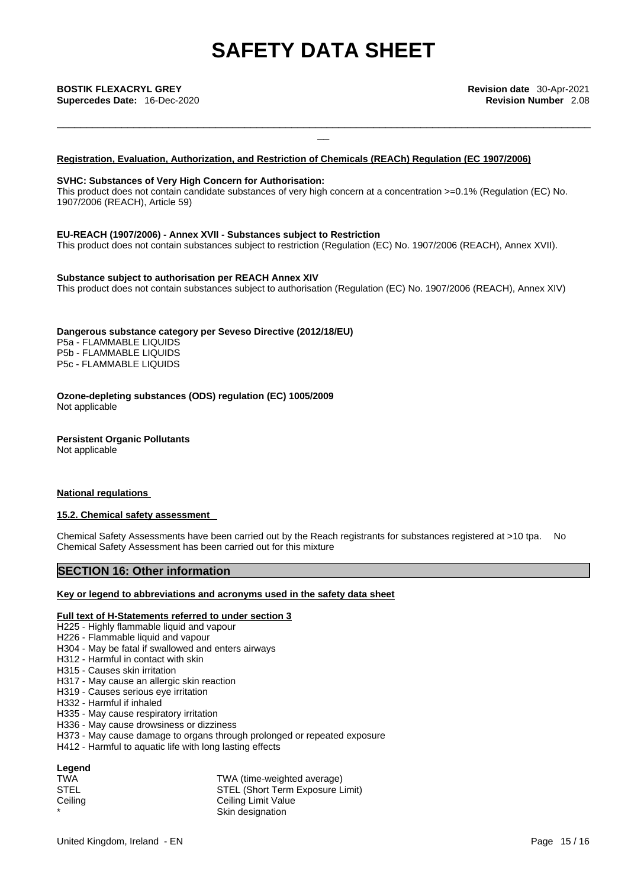\_\_\_\_\_\_\_\_\_\_\_\_\_\_\_\_\_\_\_\_\_\_\_\_\_\_\_\_\_\_\_\_\_\_\_\_\_\_\_\_\_\_\_\_\_\_\_\_\_\_\_\_\_\_\_\_\_\_\_\_\_\_\_\_\_\_\_\_\_\_\_\_\_\_\_\_\_\_\_\_\_\_\_\_\_\_\_\_\_\_\_

**Supercedes Date:** 16-Dec-2020 **Revision Number** 2.08

### **Registration, Evaluation, Authorization, and Restriction of Chemicals (REACh) Regulation (EC 1907/2006)**

#### **SVHC: Substances of Very High Concern for Authorisation:**

This product does not contain candidate substances of very high concern at a concentration >=0.1% (Regulation (EC) No. 1907/2006 (REACH), Article 59)

#### **EU-REACH (1907/2006) - Annex XVII - Substances subject to Restriction**

This product does not contain substances subject to restriction (Regulation (EC) No. 1907/2006 (REACH), Annex XVII).

#### **Substance subject to authorisation per REACH Annex XIV**

This product does not contain substances subject to authorisation (Regulation (EC) No. 1907/2006 (REACH), Annex XIV)

### **Dangerous substance category per Seveso Directive (2012/18/EU)**

P5a - FLAMMABLE LIQUIDS P5b - FLAMMABLE LIQUIDS P5c - FLAMMABLE LIQUIDS

**Ozone-depleting substances (ODS) regulation (EC) 1005/2009** Not applicable

**Persistent Organic Pollutants** Not applicable

### **National regulations**

### **15.2. Chemical safety assessment**

Chemical Safety Assessments have been carried out by the Reach registrants for substances registered at >10 tpa. No Chemical Safety Assessment has been carried out for this mixture

## **SECTION 16: Other information**

#### **Key or legend to abbreviations and acronyms used in the safety data sheet**

#### **Full text of H-Statements referred to under section 3**

- H225 Highly flammable liquid and vapour
- H226 Flammable liquid and vapour
- H304 May be fatal if swallowed and enters airways
- H312 Harmful in contact with skin
- H315 Causes skin irritation
- H317 May cause an allergic skin reaction
- H319 Causes serious eye irritation
- H332 Harmful if inhaled
- H335 May cause respiratory irritation
- H336 May cause drowsiness or dizziness
- H373 May cause damage to organs through prolonged or repeated exposure
- H412 Harmful to aquatic life with long lasting effects

# **Legend**

| <b>TWA</b>  | TWA (time-weighted average)      |
|-------------|----------------------------------|
| <b>STEL</b> | STEL (Short Term Exposure Limit) |
| Ceiling     | Ceiling Limit Value              |
|             | Skin designation                 |